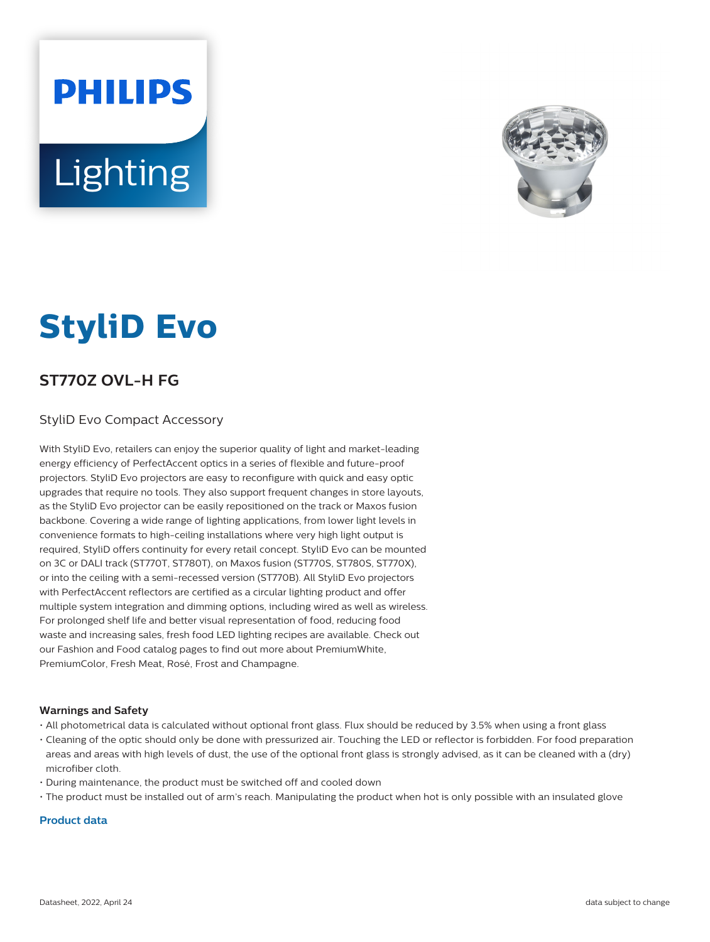# **PHILIPS Lighting**



## **StyliD Evo**

### **ST770Z OVL-H FG**

#### StyliD Evo Compact Accessory

With StyliD Evo, retailers can enjoy the superior quality of light and market-leading energy efficiency of PerfectAccent optics in a series of flexible and future-proof projectors. StyliD Evo projectors are easy to reconfigure with quick and easy optic upgrades that require no tools. They also support frequent changes in store layouts, as the StyliD Evo projector can be easily repositioned on the track or Maxos fusion backbone. Covering a wide range of lighting applications, from lower light levels in convenience formats to high-ceiling installations where very high light output is required, StyliD offers continuity for every retail concept. StyliD Evo can be mounted on 3C or DALI track (ST770T, ST780T), on Maxos fusion (ST770S, ST780S, ST770X), or into the ceiling with a semi-recessed version (ST770B). All StyliD Evo projectors with PerfectAccent reflectors are certified as a circular lighting product and offer multiple system integration and dimming options, including wired as well as wireless. For prolonged shelf life and better visual representation of food, reducing food waste and increasing sales, fresh food LED lighting recipes are available. Check out our Fashion and Food catalog pages to find out more about PremiumWhite, PremiumColor, Fresh Meat, Rosé, Frost and Champagne.

#### **Warnings and Safety**

- All photometrical data is calculated without optional front glass. Flux should be reduced by 3.5% when using a front glass
- Cleaning of the optic should only be done with pressurized air. Touching the LED or reflector is forbidden. For food preparation areas and areas with high levels of dust, the use of the optional front glass is strongly advised, as it can be cleaned with a (dry) microfiber cloth.
- During maintenance, the product must be switched off and cooled down
- The product must be installed out of arm's reach. Manipulating the product when hot is only possible with an insulated glove

#### **Product data**